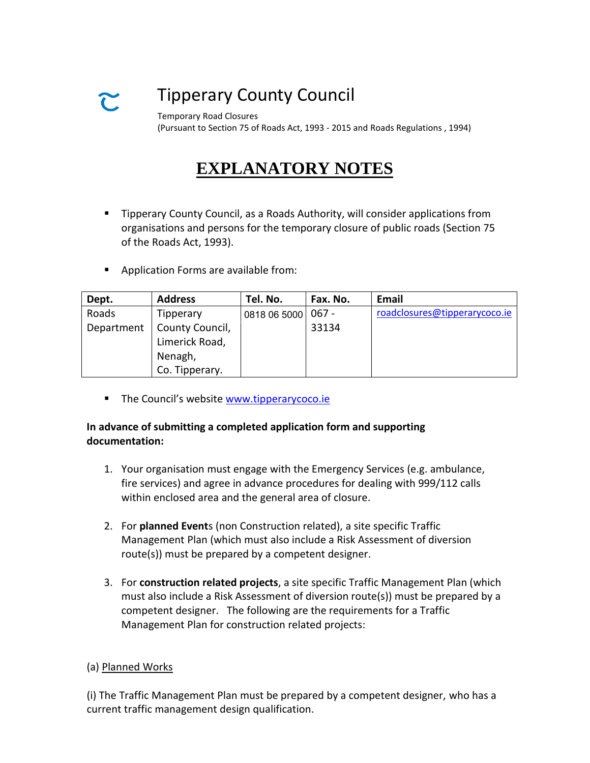# Tipperary County Council

Temporary Road Closures (Pursuant to Section 75 of Roads Act, 1993 - 2015 and Roads Regulations , 1994)

# **EXPLANATORY NOTES**

- **Tipperary County Council, as a Roads Authority, will consider applications from** organisations and persons for the temporary closure of public roads (Section 75 of the Roads Act, 1993).
- **Application Forms are available from:**

| Dept.      | <b>Address</b>  | Tel. No.           | Fax. No. | <b>Email</b>                  |
|------------|-----------------|--------------------|----------|-------------------------------|
| Roads      | Tipperary       | 0818 06 5000 067 - |          | roadclosures@tipperarycoco.ie |
| Department | County Council, |                    | 33134    |                               |
|            | Limerick Road,  |                    |          |                               |
|            | Nenagh,         |                    |          |                               |
|            | Co. Tipperary.  |                    |          |                               |

**The Council's website [www.tipperarycoco.ie](http://www.tipperarycoco.ie/)** 

### **In advance of submitting a completed application form and supporting documentation:**

- 1. Your organisation must engage with the Emergency Services (e.g. ambulance, fire services) and agree in advance procedures for dealing with 999/112 calls within enclosed area and the general area of closure.
- 2. For **planned Event**s (non Construction related), a site specific Traffic Management Plan (which must also include a Risk Assessment of diversion route(s)) must be prepared by a competent designer.
- 3. For **construction related projects**, a site specific Traffic Management Plan (which must also include a Risk Assessment of diversion route(s)) must be prepared by a competent designer. The following are the requirements for a Traffic Management Plan for construction related projects:

#### (a) Planned Works

(i) The Traffic Management Plan must be prepared by a competent designer, who has a current traffic management design qualification.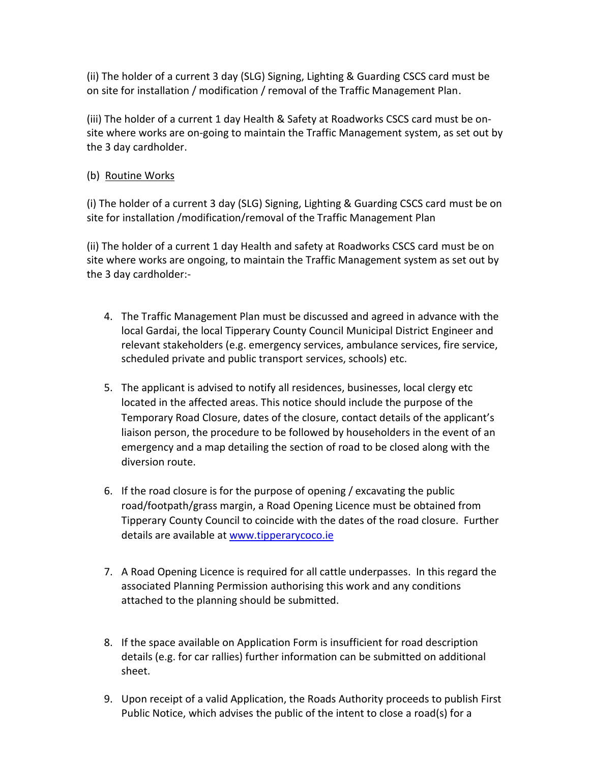(ii) The holder of a current 3 day (SLG) Signing, Lighting & Guarding CSCS card must be on site for installation / modification / removal of the Traffic Management Plan.

(iii) The holder of a current 1 day Health & Safety at Roadworks CSCS card must be onsite where works are on-going to maintain the Traffic Management system, as set out by the 3 day cardholder.

## (b) Routine Works

(i) The holder of a current 3 day (SLG) Signing, Lighting & Guarding CSCS card must be on site for installation /modification/removal of the Traffic Management Plan

(ii) The holder of a current 1 day Health and safety at Roadworks CSCS card must be on site where works are ongoing, to maintain the Traffic Management system as set out by the 3 day cardholder:-

- 4. The Traffic Management Plan must be discussed and agreed in advance with the local Gardai, the local Tipperary County Council Municipal District Engineer and relevant stakeholders (e.g. emergency services, ambulance services, fire service, scheduled private and public transport services, schools) etc.
- 5. The applicant is advised to notify all residences, businesses, local clergy etc located in the affected areas. This notice should include the purpose of the Temporary Road Closure, dates of the closure, contact details of the applicant's liaison person, the procedure to be followed by householders in the event of an emergency and a map detailing the section of road to be closed along with the diversion route.
- 6. If the road closure is for the purpose of opening / excavating the public road/footpath/grass margin, a Road Opening Licence must be obtained from Tipperary County Council to coincide with the dates of the road closure. Further details are available at [www.tipperarycoco.ie](http://www.tipperarycoco.ie/)
- 7. A Road Opening Licence is required for all cattle underpasses. In this regard the associated Planning Permission authorising this work and any conditions attached to the planning should be submitted.
- 8. If the space available on Application Form is insufficient for road description details (e.g. for car rallies) further information can be submitted on additional sheet.
- 9. Upon receipt of a valid Application, the Roads Authority proceeds to publish First Public Notice, which advises the public of the intent to close a road(s) for a